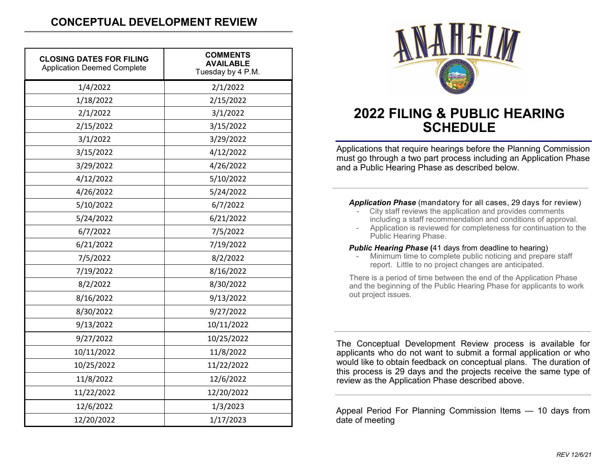| <b>CLOSING DATES FOR FILING</b><br><b>Application Deemed Complete</b> | <b>COMMENTS</b><br><b>AVAILABLE</b><br>Tuesday by 4 P.M. |
|-----------------------------------------------------------------------|----------------------------------------------------------|
| 1/4/2022                                                              | 2/1/2022                                                 |
| 1/18/2022                                                             | 2/15/2022                                                |
| 2/1/2022                                                              | 3/1/2022                                                 |
| 2/15/2022                                                             | 3/15/2022                                                |
| 3/1/2022                                                              | 3/29/2022                                                |
| 3/15/2022                                                             | 4/12/2022                                                |
| 3/29/2022                                                             | 4/26/2022                                                |
| 4/12/2022                                                             | 5/10/2022                                                |
| 4/26/2022                                                             | 5/24/2022                                                |
| 5/10/2022                                                             | 6/7/2022                                                 |
| 5/24/2022                                                             | 6/21/2022                                                |
| 6/7/2022                                                              | 7/5/2022                                                 |
| 6/21/2022                                                             | 7/19/2022                                                |
| 7/5/2022                                                              | 8/2/2022                                                 |
| 7/19/2022                                                             | 8/16/2022                                                |
| 8/2/2022                                                              | 8/30/2022                                                |
| 8/16/2022                                                             | 9/13/2022                                                |
| 8/30/2022                                                             | 9/27/2022                                                |
| 9/13/2022                                                             | 10/11/2022                                               |
| 9/27/2022                                                             | 10/25/2022                                               |
| 10/11/2022                                                            | 11/8/2022                                                |
| 10/25/2022                                                            | 11/22/2022                                               |
| 11/8/2022                                                             | 12/6/2022                                                |
| 11/22/2022                                                            | 12/20/2022                                               |
| 12/6/2022                                                             | 1/3/2023                                                 |
| 12/20/2022                                                            | 1/17/2023                                                |



# **2022 FILING & PUBLIC HEARING SCHEDULE**

Applications that require hearings before the Planning Commission must go through a two part process including an Application Phase and a Public Hearing Phase as described below.

#### *Application Phase* (mandatory for all cases, 29 days for review)

- City staff reviews the application and provides comments including a staff recommendation and conditions of approval.
- Application is reviewed for completeness for continuation to the Public Hearing Phase.

#### *Public Hearing Phase* **(**41 days from deadline to hearing)

Minimum time to complete public noticing and prepare staff report. Little to no project changes are anticipated.

There is a period of time between the end of the Application Phase and the beginning of the Public Hearing Phase for applicants to work out project issues.

The Conceptual Development Review process is available for applicants who do not want to submit a formal application or who would like to obtain feedback on conceptual plans. The duration of this process is 29 days and the projects receive the same type of review as the Application Phase described above.

Appeal Period For Planning Commission Items — 10 days from date of meeting